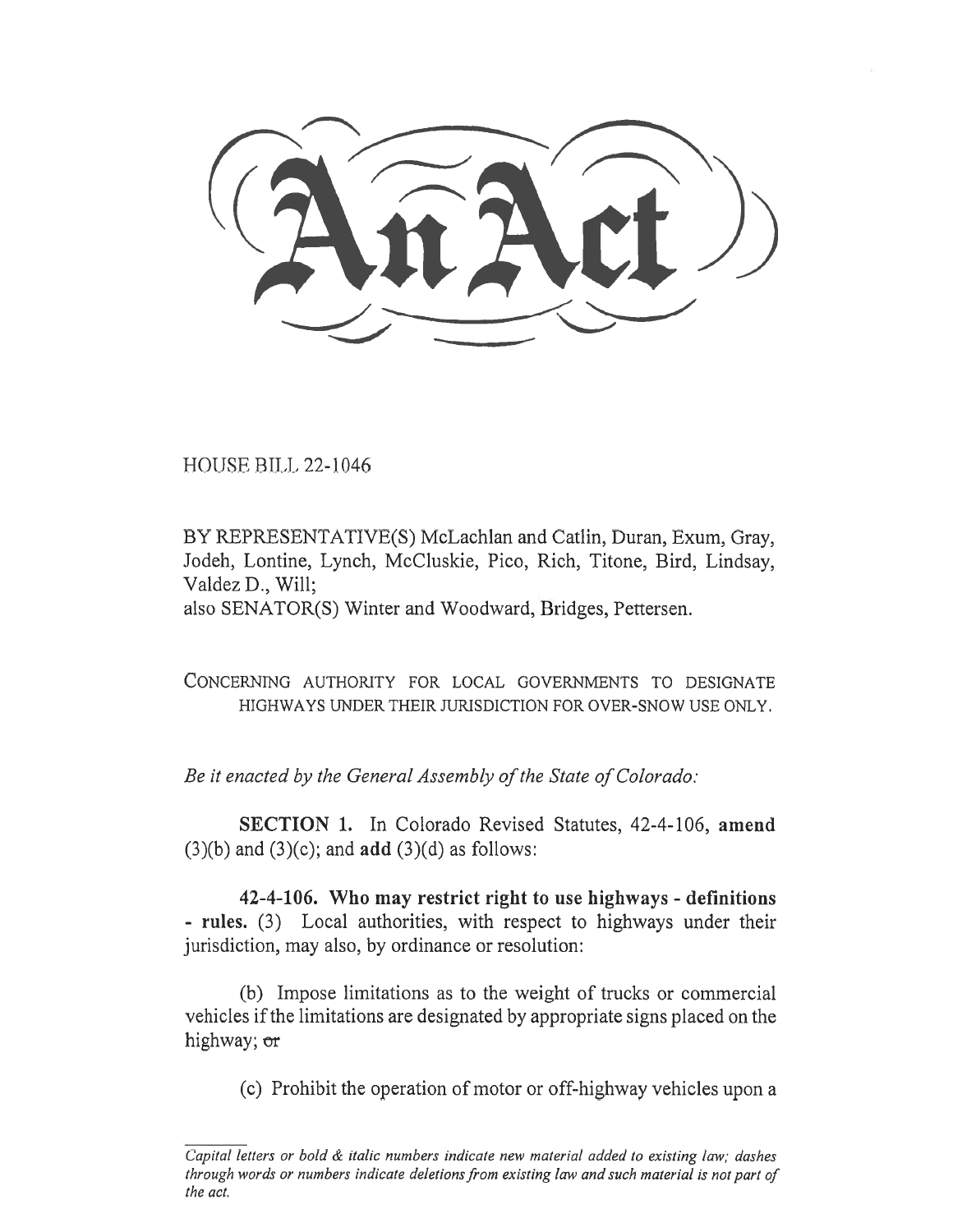**N** 511544

HOUSE BILL 22-1046

BY REPRESENTATIVE(S) McLachlan and Catlin, Duran, Exum, Gray, Jodeh, Lontine, Lynch, McCluskie, Pico, Rich, Titone, Bird, Lindsay, Valdez D., Will;

also SENATOR(S) Winter and Woodward, Bridges, Pettersen.

CONCERNING AUTHORITY FOR LOCAL GOVERNMENTS TO DESIGNATE HIGHWAYS UNDER THEIR JURISDICTION FOR OVER-SNOW USE ONLY.

Be it enacted by the General Assembly of the State of Colorado:

SECTION 1. In Colorado Revised Statutes, 42-4-106, amend  $(3)(b)$  and  $(3)(c)$ ; and **add**  $(3)(d)$  as follows:

42-4-106. Who may restrict right to use highways - definitions - rules. (3) Local authorities, with respect to highways under their jurisdiction, may also, by ordinance or resolution:

(b) Impose limitations as to the weight of trucks or commercial vehicles if the limitations are designated by appropriate signs placed on the highway; or

(c) Prohibit the operation of motor or off-highway vehicles upon a

Capital letters or bold & italic numbers indicate new material added to existing law; dashes through words or numbers indicate deletions from existing law and such material is not part of the act.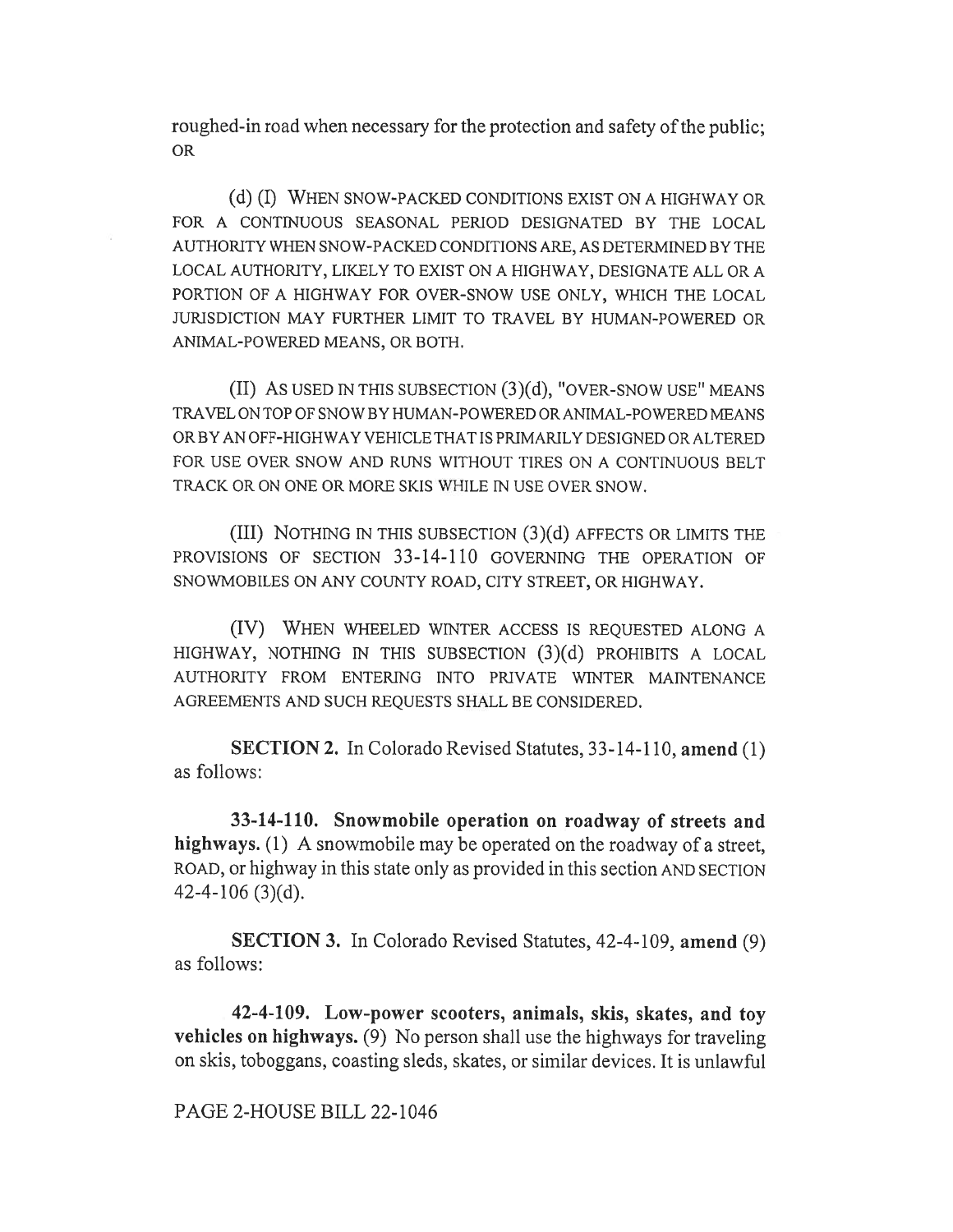roughed-in road when necessary for the protection and safety of the public; OR

(d) (I) WHEN SNOW-PACKED CONDITIONS EXIST ON A HIGHWAY OR FOR A CONTINUOUS SEASONAL PERIOD DESIGNATED BY THE LOCAL AUTHORITY WHEN SNOW-PACKED CONDITIONS ARE, AS DETERMINED BY THE LOCAL AUTHORITY, LIKELY TO EXIST ON A HIGHWAY, DESIGNATE ALL OR A PORTION OF A HIGHWAY FOR OVER-SNOW USE ONLY, WHICH THE LOCAL JURISDICTION MAY FURTHER LIMIT TO TRAVEL BY HUMAN-POWERED OR ANIMAL-POWERED MEANS, OR BOTH.

(II) AS USED IN THIS SUBSECTION (3)(d), "OVER-SNOW USE" MEANS TRAVEL ON TOP OF SNOW BY HUMAN-POWERED OR ANIMAL-POWERED MEANS OR BY AN OFF-HIGHWAY VEHICLE THAT IS PRIMARILY DESIGNED OR ALTERED FOR USE OVER SNOW AND RUNS WITHOUT TIRES ON A CONTINUOUS BELT TRACK OR ON ONE OR MORE SKIS WHILE IN USE OVER SNOW.

(III) NOTHING IN THIS SUBSECTION (3)(d) AFFECTS OR LIMITS THE PROVISIONS OF SECTION 33-14-110 GOVERNING THE OPERATION OF SNOWMOBILES ON ANY COUNTY ROAD, CITY STREET, OR HIGHWAY.

(IV) WHEN WHEELED WINTER ACCESS IS REQUESTED ALONG A HIGHWAY, NOTHING IN THIS SUBSECTION (3)(d) PROHIBITS A LOCAL AUTHORITY FROM ENTERING INTO PRIVATE WINTER MAINTENANCE AGREEMENTS AND SUCH REQUESTS SHALL BE CONSIDERED.

SECTION 2. In Colorado Revised Statutes, 33-14-110, amend (1) as follows:

33-14-110. Snowmobile operation on roadway of streets and highways. (1) A snowmobile may be operated on the roadway of a street, ROAD, or highway in this state only as provided in this section AND SECTION 42-4-106 (3)(d).

SECTION 3. In Colorado Revised Statutes, 42-4-109, amend (9) as follows:

42-4-109. Low-power scooters, animals, skis, skates, and toy vehicles on highways. (9) No person shall use the highways for traveling on skis, toboggans, coasting sleds, skates, or similar devices. It is unlawful

PAGE 2-HOUSE BILL 22-1046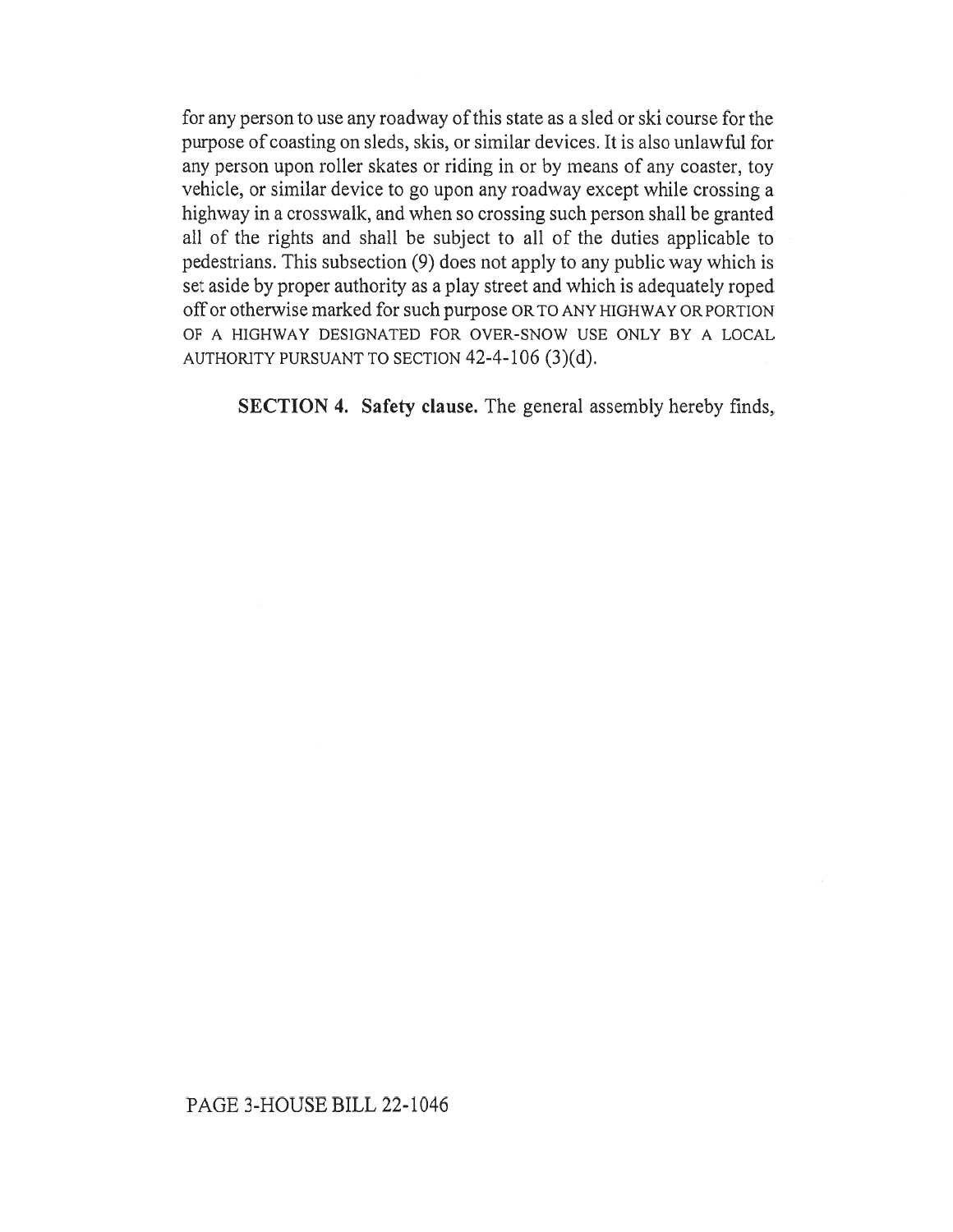for any person to use any roadway of this state as a sled or ski course for the purpose of coasting on sleds, skis, or similar devices. It is also unlawful for any person upon roller skates or riding in or by means of any coaster, toy vehicle, or similar device to go upon any roadway except while crossing a highway in a crosswalk, and when so crossing such person shall be granted all of the rights and shall be subject to all of the duties applicable to pedestrians. This subsection (9) does not apply to any public way which is set aside by proper authority as a play street and which is adequately roped off or otherwise marked for such purpose OR TO ANY HIGHWAY OR PORTION OF A HIGHWAY DESIGNATED FOR OVER-SNOW USE ONLY BY A LOCAL AUTHORITY PURSUANT TO SECTION 42-4-106 (3)(d).

SECTION 4. Safety clause. The general assembly hereby finds,